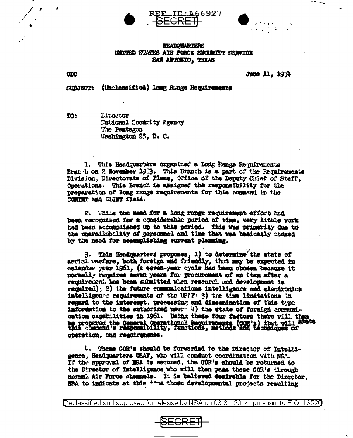





## **HEADOUARTERS** UNITED STATES AIR FORCE SECURITY SERVICE SAN ANTONIO, TEXAS

**CDC** 

June 11, 1954

SURJECT: (Unclassified) Long Range Regulrements

TO: Lirector National Security Agency The Pentagon Washington 25, D. C.

1. This Headquarters organized a Long lange Requirements Branch on 2 November 1963. This Branch is a part of the Requirements Division, Directorate of Plans, Office of the Deputy Chief of Staff. Operations. This Branch is assigned the responsibility for the preparation of long range requirements for this command in the COMMIT and SLIMY field.

2. While the need for a long range requirement effort had been recognized for a considerable period of time, very little work had been accomplished up to this period. This was primarily due to the unavailability of personnel and time that was basically coused by the need for accomplishing current planning.

3. This Neadquarters proposes, 1) to determine the state of aerial warfare, both foreign and friendly, that may be expected in calendar year 1961, (a seven-year cycle has been chosen because it normally requires seven years for procurement of an item after a requirement has been submitted when resaurch and development is required); 2) the future communications intelligence and electronics intelligen a requirements of the USAF: 3) the time limitations in regard to the intercept, processing and dissemination of this type information to the authorized user (4) the state of foreign communication capabilities in 1961. Using these four factors there will then be propared the General Operational Requirements (OOR's) that will atate<br>this commend's responsibility, functions, methods and techniques of operation, and requirements.

4. These GOR's should be forwarded to the Director of Intelligence, Headquarters USAF, who will conduct coordination with NSA. If the approval of MSA is secured, the GOR's should be returned to the Director of Intelligence who will then pass these GOR's through normal Air Force channels. It is believed desirable for the Director. NSA to indicate at this <sup>++-me</sup> those developmental projects resulting

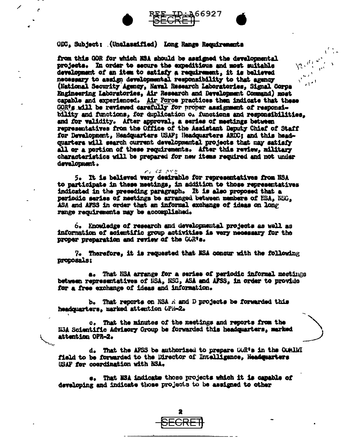



from this GOR for which NSA should be assigned the developmental  $\sum_{i=1}^{n}$ projects. In order to secure the expeditious and most suitable development of an item to satisfy a requirement, it is believed necessary to assign developmental responsibility to that agency المني (National Security Agency, Naval Research Laboratories, Signal Corps Engineering Laboratories, Air Research and Development Command) most capable and experienced. Air Force practices then indicate that these GOR's will be reviewed carefully for proper assignment of responsibility and functions, for duplication o. functions and responsibilities. and for validity. After approval, a series of meetings between representatives from the Office of the Assistant Deputy Chief of Staff for Development. Headquarters USAF: Headquarters ARDC: and this headquarters will search current developmental projects that may satisfy all or a portion of these requirements. After this review, military characteristics will be prepared for new items required and not under devalopment.

66927

5. It is believed very desirable for representatives from NSA to participate in these meetings, in addition to those representatives indicated in the preseding paragraph. It is also proposed that a periodic series of meetings be arranged between members of NSA, NSC. ASA and AFSS in order that an informal exchange of ideas on long range requirements may be accomplished.

 $r_1 \in S$  , and

6. Knowledge of research and developmental projects as well as information of acientific group activities is very necessary for the proper preparation and review of the GUR's.

7. Therefore, it is requested that NSA concur with the following proposals:

a. That NSA arrange for a series of periodic informal meetings between representatives of NSA, NSG, ASA and AFSS, in order to provide for a free exchange of ideas and information.

b. That reports on NSA A and D projects be forwarded this headquarters, marked attention OPR-2.

c. That the minutes of the meetings and reports from the N3A Scientific Advisory Group be forwarded this headquarters, marked attention OPR-2.

d. That the AFSS be authorized to prepare GOR's in the COMINI field to be forwarded to the Director of Intelligence, Headquarters USAF for coordination with NSA.

That NSA indicate those projects which it is capable of developing and indicate those projects to be assigned to other